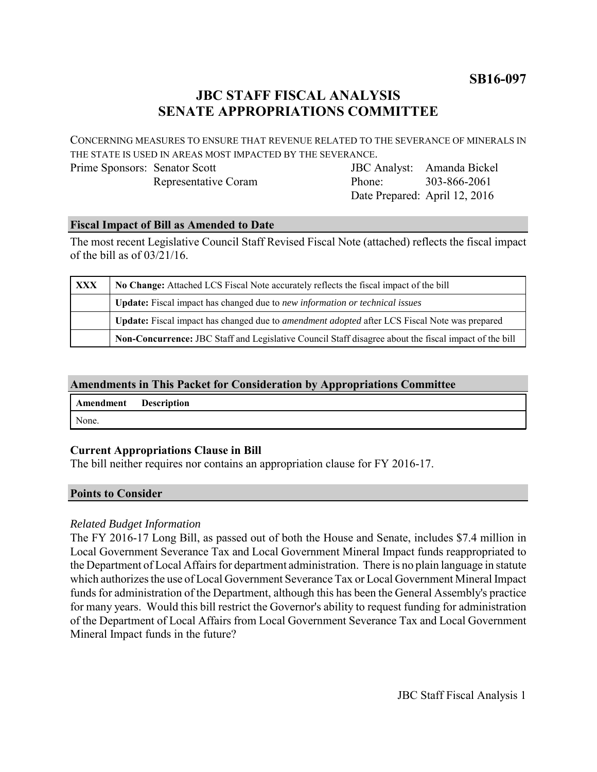**SB16-097**

## **JBC STAFF FISCAL ANALYSIS SENATE APPROPRIATIONS COMMITTEE**

CONCERNING MEASURES TO ENSURE THAT REVENUE RELATED TO THE SEVERANCE OF MINERALS IN THE STATE IS USED IN AREAS MOST IMPACTED BY THE SEVERANCE.

Prime Sponsors: Senator Scott Representative Coram

JBC Analyst: Amanda Bickel Phone: Date Prepared: April 12, 2016 303-866-2061

#### **Fiscal Impact of Bill as Amended to Date**

The most recent Legislative Council Staff Revised Fiscal Note (attached) reflects the fiscal impact of the bill as of 03/21/16.

| <b>XXX</b> | No Change: Attached LCS Fiscal Note accurately reflects the fiscal impact of the bill                       |
|------------|-------------------------------------------------------------------------------------------------------------|
|            | Update: Fiscal impact has changed due to new information or technical issues                                |
|            | <b>Update:</b> Fiscal impact has changed due to <i>amendment adopted</i> after LCS Fiscal Note was prepared |
|            | Non-Concurrence: JBC Staff and Legislative Council Staff disagree about the fiscal impact of the bill       |

### **Amendments in This Packet for Consideration by Appropriations Committee**

| Amendment Description |  |
|-----------------------|--|
| None.                 |  |

#### **Current Appropriations Clause in Bill**

The bill neither requires nor contains an appropriation clause for FY 2016-17.

#### **Points to Consider**

#### *Related Budget Information*

The FY 2016-17 Long Bill, as passed out of both the House and Senate, includes \$7.4 million in Local Government Severance Tax and Local Government Mineral Impact funds reappropriated to the Department of Local Affairs for department administration. There is no plain language in statute which authorizes the use of Local Government Severance Tax or Local Government Mineral Impact funds for administration of the Department, although this has been the General Assembly's practice for many years. Would this bill restrict the Governor's ability to request funding for administration of the Department of Local Affairs from Local Government Severance Tax and Local Government Mineral Impact funds in the future?